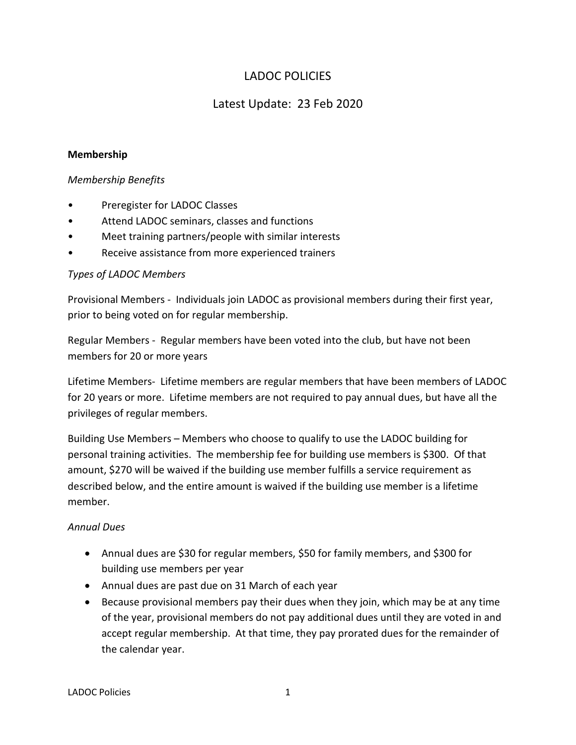# LADOC POLICIES

# Latest Update: 23 Feb 2020

### **Membership**

### *Membership Benefits*

- Preregister for LADOC Classes
- Attend LADOC seminars, classes and functions
- Meet training partners/people with similar interests
- Receive assistance from more experienced trainers

## *Types of LADOC Members*

Provisional Members - Individuals join LADOC as provisional members during their first year, prior to being voted on for regular membership.

Regular Members - Regular members have been voted into the club, but have not been members for 20 or more years

Lifetime Members- Lifetime members are regular members that have been members of LADOC for 20 years or more. Lifetime members are not required to pay annual dues, but have all the privileges of regular members.

Building Use Members – Members who choose to qualify to use the LADOC building for personal training activities. The membership fee for building use members is \$300. Of that amount, \$270 will be waived if the building use member fulfills a service requirement as described below, and the entire amount is waived if the building use member is a lifetime member.

## *Annual Dues*

- Annual dues are \$30 for regular members, \$50 for family members, and \$300 for building use members per year
- Annual dues are past due on 31 March of each year
- Because provisional members pay their dues when they join, which may be at any time of the year, provisional members do not pay additional dues until they are voted in and accept regular membership. At that time, they pay prorated dues for the remainder of the calendar year.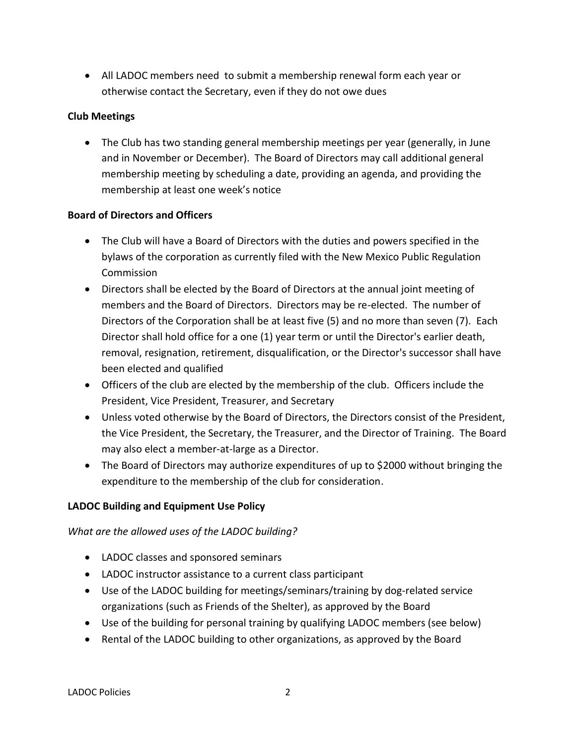• All LADOC members need to submit a membership renewal form each year or otherwise contact the Secretary, even if they do not owe dues

## **Club Meetings**

• The Club has two standing general membership meetings per year (generally, in June and in November or December). The Board of Directors may call additional general membership meeting by scheduling a date, providing an agenda, and providing the membership at least one week's notice

## **Board of Directors and Officers**

- The Club will have a Board of Directors with the duties and powers specified in the bylaws of the corporation as currently filed with the New Mexico Public Regulation Commission
- Directors shall be elected by the Board of Directors at the annual joint meeting of members and the Board of Directors. Directors may be re-elected. The number of Directors of the Corporation shall be at least five (5) and no more than seven (7). Each Director shall hold office for a one (1) year term or until the Director's earlier death, removal, resignation, retirement, disqualification, or the Director's successor shall have been elected and qualified
- Officers of the club are elected by the membership of the club. Officers include the President, Vice President, Treasurer, and Secretary
- Unless voted otherwise by the Board of Directors, the Directors consist of the President, the Vice President, the Secretary, the Treasurer, and the Director of Training. The Board may also elect a member-at-large as a Director.
- The Board of Directors may authorize expenditures of up to \$2000 without bringing the expenditure to the membership of the club for consideration.

# **LADOC Building and Equipment Use Policy**

*What are the allowed uses of the LADOC building?*

- LADOC classes and sponsored seminars
- LADOC instructor assistance to a current class participant
- Use of the LADOC building for meetings/seminars/training by dog-related service organizations (such as Friends of the Shelter), as approved by the Board
- Use of the building for personal training by qualifying LADOC members (see below)
- Rental of the LADOC building to other organizations, as approved by the Board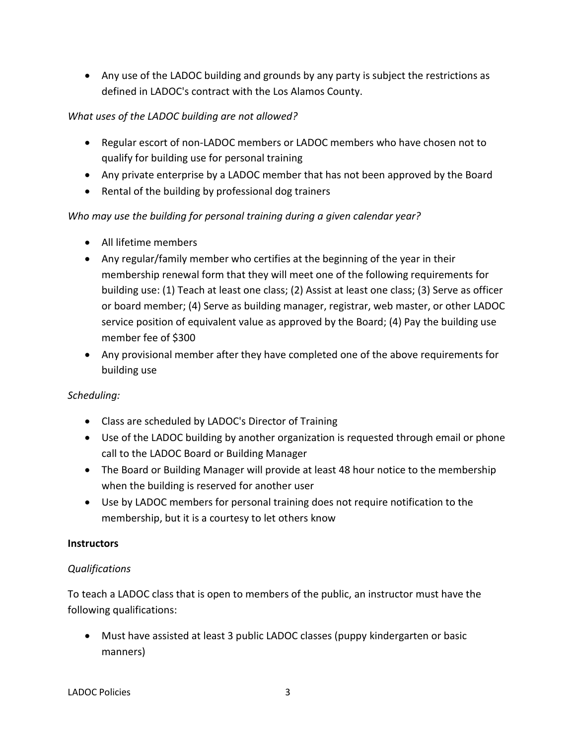• Any use of the LADOC building and grounds by any party is subject the restrictions as defined in LADOC's contract with the Los Alamos County.

# *What uses of the LADOC building are not allowed?*

- Regular escort of non-LADOC members or LADOC members who have chosen not to qualify for building use for personal training
- Any private enterprise by a LADOC member that has not been approved by the Board
- Rental of the building by professional dog trainers

# *Who may use the building for personal training during a given calendar year?*

- All lifetime members
- Any regular/family member who certifies at the beginning of the year in their membership renewal form that they will meet one of the following requirements for building use: (1) Teach at least one class; (2) Assist at least one class; (3) Serve as officer or board member; (4) Serve as building manager, registrar, web master, or other LADOC service position of equivalent value as approved by the Board; (4) Pay the building use member fee of \$300
- Any provisional member after they have completed one of the above requirements for building use

## *Scheduling:*

- Class are scheduled by LADOC's Director of Training
- Use of the LADOC building by another organization is requested through email or phone call to the LADOC Board or Building Manager
- The Board or Building Manager will provide at least 48 hour notice to the membership when the building is reserved for another user
- Use by LADOC members for personal training does not require notification to the membership, but it is a courtesy to let others know

## **Instructors**

## *Qualifications*

To teach a LADOC class that is open to members of the public, an instructor must have the following qualifications:

• Must have assisted at least 3 public LADOC classes (puppy kindergarten or basic manners)